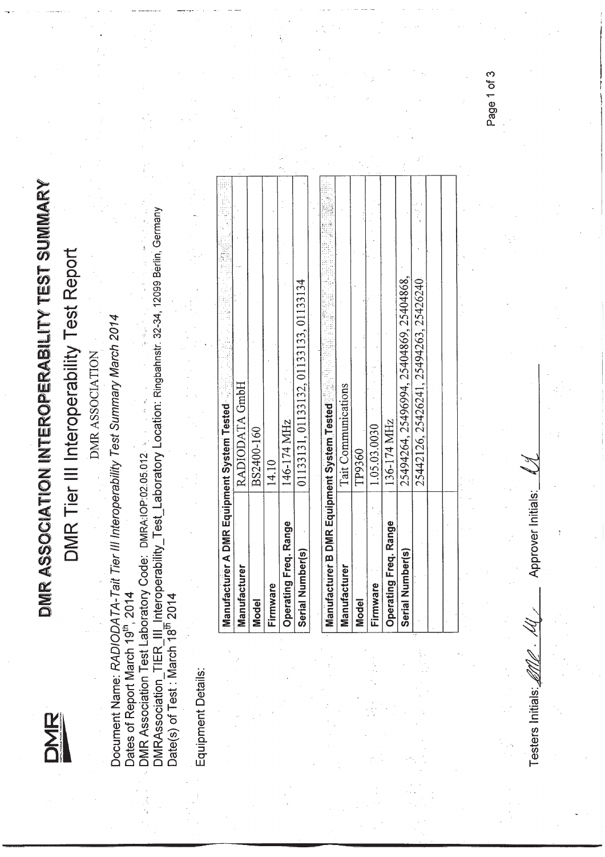

## DMR ASSOCIATION INTEROPERABILITY TEST SUMMARY DMR ASSOCIATION INTEROPERABILITY TEST SUMMARY<br>T

## DMR Tier III Interoperability Test Report DMR Tier III Interoperability Test Report

DMR ASSOCIATION DMR ASSOCIATION

Document Name: RADIODATA-Tait Tier III Interoperability Test Summary March 2014 Document Name: *RAOIODATA- Tait Tier IIIlnteroperability Test Summary March 2014*

DMRAssociation\_TIER\_III\_Interoperability\_Test\_Laboratory Location: Ringbahnstr. 32-34, 12099 Berlin, Germany<br>Date(s) of Test : March 18<sup>th</sup> 2014 DMRAssociation\_ TIER\_III Interoperability\_ Test\_Laboratory Location: Ringbahnstr. 32-34, 12099 Berlin, Germany Date(s) of Test: March 18th 2014 Dates of Report March 19<sup>th</sup>, 2014<br>Dates of Report March 19<sup>th</sup>, 2014<br>DMR Association Test Laboratory Code: DMRA:IOP:02.05.012 .. DMR Association Test Laboratory Code: DMRA:IOP:02~05.012 Dates of Report March 19th, 2014

Equipment Details: Equipment Details:

| Manufacturer A DMR Equipment System Tested |                                        |  |
|--------------------------------------------|----------------------------------------|--|
| Manufacturer                               | RADIODATA GmbH                         |  |
| <b>Model</b>                               | BS2400-160                             |  |
| Firmware                                   | 14.10                                  |  |
| Operating Freq. Range                      | 146-174 MHz                            |  |
| Serial Number(s)                           | 01133131, 01133132, 01133133, 01133134 |  |
|                                            |                                        |  |

| Manufacturer B DMR Equipment System Tested |                                         |
|--------------------------------------------|-----------------------------------------|
| Manufacturer                               | <b>Tait Communications</b>              |
| <b>Model</b>                               | TP9360                                  |
| Firmware                                   | 1.05.03.0030                            |
| Operating Freq. Range                      | 136-174 MHz                             |
| Serial Number(s)                           | 25494264, 25496994, 25404869, 25404868, |
|                                            | 25442126, 25426241, 25494263, 25426240  |
|                                            |                                         |
|                                            |                                         |

Testers Initials: $\mathscr{M}_{\mathscr{L}}$  *.*  $\mathscr{M}_{\mathscr{L}}$  *. Approver Initials:*  $\mathscr{L}$ Approver Initials: Testers Initials:

Page 1 of 3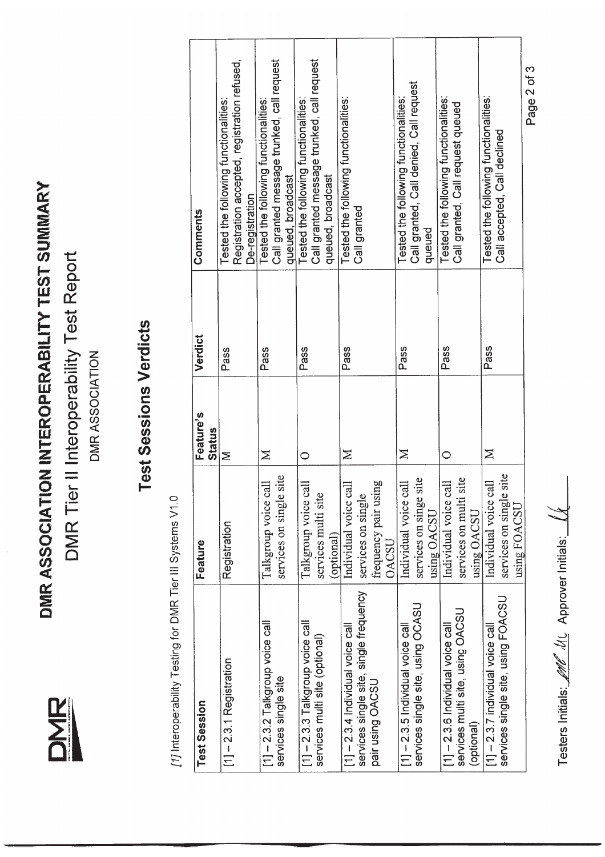DMR ASSOCIATION INTEROPERABILITY TEST SUMMARY **DMR ASSOCIATION INTEROPERABILITY TEST SUMMARY** DMR Tier II Interoperability Test Report **DMR** Tier **II** Interoperability Test Report

> **DMR** ONIV'AL MONNA RACK: ABSOCIATION

DMR ASSOCIATION DMR ASSOCIATION

## **Test Sessions Verdicts Test Sessions Verdicts**

[1] Interoperability Testing for DMR Tier III Systems V1.0 *[1]* Interoperability Testing for DMR Tier III Systems V1.0

| Test Session                                                                                      | Feature                                                                             | Feature's          | Verdict | Comments                                                                                                 |  |
|---------------------------------------------------------------------------------------------------|-------------------------------------------------------------------------------------|--------------------|---------|----------------------------------------------------------------------------------------------------------|--|
| $[1]$ - 2.3.1 Registration                                                                        | Registration                                                                        | <b>Status</b><br>Σ | Pass    | Registration accepted, registration refused,<br>Tested the following functionalities:<br>De-registration |  |
| $[1]$ – 2.3.2 Talkgroup voice call<br>services single site                                        | site<br>Talkgroup voice call<br>services on single                                  | $\geq$             | Pass    | Call granted message trunked, call request<br>Tested the following functionalities:<br>queued, broadcast |  |
| $[1]$ – 2.3.3 Talkgroup voice call<br>services multi site (optional)                              | Talkgroup voice call<br>services multi site<br>(optional)                           | $\circ$            | Pass    | Call granted message trunked, call request<br>Tested the following functionalities:<br>queued, broadcast |  |
| services single site, single frequency<br>$[1] - 2.3.4$ Individual voice call<br>pair using OACSU | frequency pair using<br>Individual voice call<br>services on single<br><b>DACSU</b> | $\geq$             | Pass    | Tested the following functionalities:<br>Call granted                                                    |  |
| services single site, using OCASU<br>$[1]$ $-$ 2.3.5 Individual voice call                        | site<br>Individual voice call<br>services on singe<br>using OACSU                   | $\geq$             | Pass    | Call granted, Call denied, Call request<br>Tested the following functionalities:<br>queued               |  |
| services multi site, using OACSU<br>$[1]$ - 2.3.6 Individual voice call<br>(optional)             | site<br>Individual voice call<br>services on multi<br>using OACSU                   | C                  | Pass    | Tested the following functionalities:<br>Call granted, Call request queued                               |  |
| services single site, using FOACSU<br>$[1]$ - 2.3.7 individual voice call                         | site<br>Individual voice call<br>services on single<br>using FOACSU                 | $\geq$             | Pass    | Tested the following functionalities:<br>Call accepted, Call declined                                    |  |
|                                                                                                   |                                                                                     |                    |         | Page 2 of 3                                                                                              |  |

Testers Initials: *INC II*L Approver Initials: Testers Initials: **Let 16** ML Approver Initials: